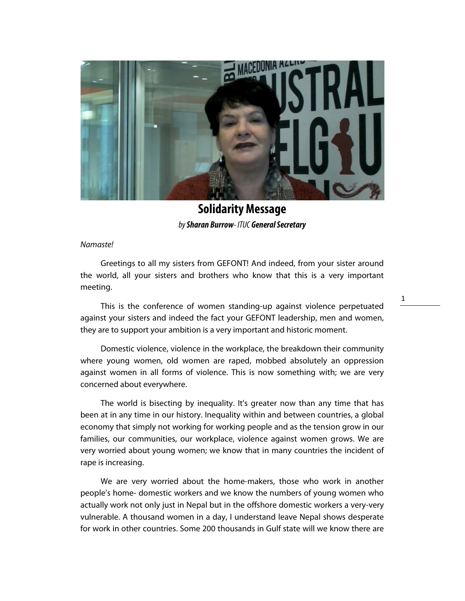

**Solidarity Message**  by **Sharan Burrow**- ITUC **General Secretary**

## Namaste!

Greetings to all my sisters from GEFONT! And indeed, from your sister around the world, all your sisters and brothers who know that this is a very important meeting.

This is the conference of women standing-up against violence perpetuated against your sisters and indeed the fact your GEFONT leadership, men and women, they are to support your ambition is a very important and historic moment.

Domestic violence, violence in the workplace, the breakdown their community where young women, old women are raped, mobbed absolutely an oppression against women in all forms of violence. This is now something with; we are very concerned about everywhere.

The world is bisecting by inequality. It's greater now than any time that has been at in any time in our history. Inequality within and between countries, a global economy that simply not working for working people and as the tension grow in our families, our communities, our workplace, violence against women grows. We are very worried about young women; we know that in many countries the incident of rape is increasing.

We are very worried about the home-makers, those who work in another people's home- domestic workers and we know the numbers of young women who actually work not only just in Nepal but in the offshore domestic workers a very-very vulnerable. A thousand women in a day, I understand leave Nepal shows desperate for work in other countries. Some 200 thousands in Gulf state will we know there are 1